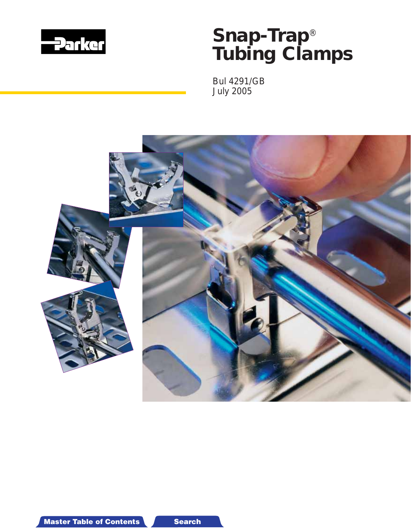

*Bul 4291/GB July 2005*

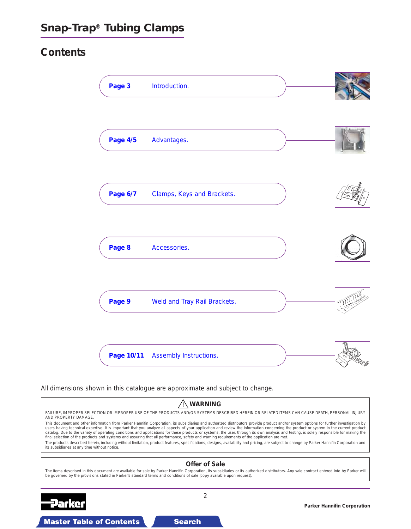# **Contents**

| Page 3          | Introduction.                |  |
|-----------------|------------------------------|--|
| <b>Page 4/5</b> | Advantages.                  |  |
| Page 6/7        | Clamps, Keys and Brackets.   |  |
| Page 8          | Accessories.                 |  |
| Page 9          | Weld and Tray Rail Brackets. |  |
| Page 10/11      | Assembly Instructions.       |  |

All dimensions shown in this catalogue are approximate and subject to change.

#### **WARNING** FAILURE, IMPROPER SELECTION OR IMPROPER USE OF THE PRODUCTS AND/OR SYSTEMS DESCRIBED HEREIN OR RELATED ITEMS CAN CAUSE DEATH, PERSONAL INJURY AND PROPERTY DAMAGE. This document and other information from Parker Hannifin Corporation, its subsidiaries and authorized distributors provide product and/or system options for further investigation by users having technical expertise. It is important that you analyze all aspects of your application and review the information concerning the product or system in the current product<br>catalog. Due to the variety of operating The products described herein, including without limitation, product features, specifications, designs, availability and pricing, are subject to change by Parker Hannifin Corporation and its subsidiaries at any time without notice. **Offer of Sale** The items described in this document are available for sale by Parker Hannifin Corporation, its subsidiaries or its authorized distributors. Any sale contract entered into by Parker will be governed by the provisions stated in Parker's standard terms and conditions of sale (copy available upon request). 2 Parker **Parker Hannifin Corporation**

#### **Master Table of Contents StateMaster Table of Contents 3-D Drawing Search Master**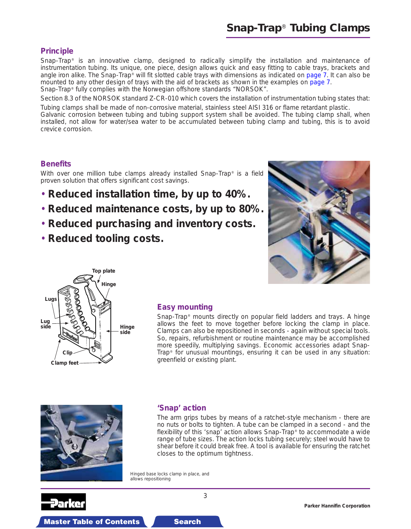### <span id="page-2-0"></span>**Principle**

Snap-Trap® is an innovative clamp, designed to radically simplify the installation and maintenance of instrumentation tubing. Its unique, one piece, design allows quick and easy fitting [to cable trays, brac](#page-6-0)kets and angle iron alike. The Snap-Trap® will fit slotted cable trays with dimensions as indicated on page 7. It can also be mounted to any other design of trays with the aid of brackets as shown in the examples on page 7. Snap-Trap® fully complies with the Norwegian offshore standards "NORSOK".

Section 8.3 of the NORSOK standard Z-CR-010 which covers the installation of instrumentation tubing states that: Tubing clamps shall be made of non-corrosive material, stainless steel AISI 316 or flame retardant plastic.

Galvanic corrosion between tubing and tubing support system shall be avoided. The tubing clamp shall, when installed, not allow for water/sea water to be accumulated between tubing clamp and tubing, this is to avoid crevice corrosion.

#### **Benefits**

With over one million tube clamps already installed Snap-Trap® is a field proven solution that offers significant cost savings.

- **Reduced installation time, by up to 40%.**
- **Reduced maintenance costs, by up to 80%.**
- **Reduced purchasing and inventory costs.**
- **Reduced tooling costs.**





#### **Easy mounting**

Snap-Trap® mounts directly on popular field ladders and trays. A hinge allows the feet to move together before locking the clamp in place. Clamps can also be repositioned in seconds - again without special tools. So, repairs, refurbishment or routine maintenance may be accomplished more speedily, multiplying savings. Economic accessories adapt Snap-Trap® for unusual mountings, ensuring it can be used in any situation: greenfield or existing plant.



#### **'Snap' action**

The arm grips tubes by means of a ratchet-style mechanism - there are no nuts or bolts to tighten. A tube can be clamped in a second - and the flexibility of this 'snap' action allows Snap-Trap® to accommodate a wide range of tube sizes. The action locks tubing securely; steel would have to shear before it could break free. A tool is available for ensuring the ratchet closes to the optimum tightness.

*Hinged base locks clamp in place, and allows repositioning*



**Parker Hannifin Corporation**

**Master Table of Contents StateMaster Table of Contents 3-D Drawing Search Master Table of Contents 3-D**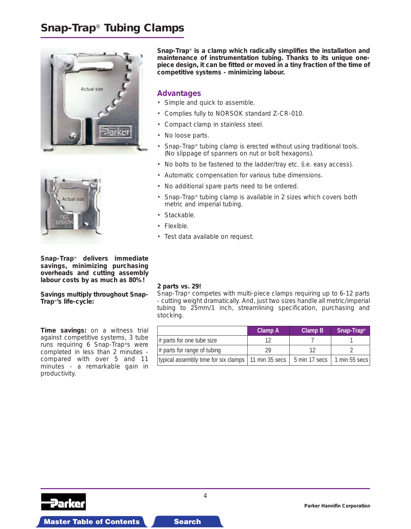<span id="page-3-0"></span>



**Snap-Trap**® **delivers immediate savings, minimizing purchasing overheads and cutting assembly labour costs by as much as 80%!**

**Savings multiply throughout Snap-Trap**®**'s life-cycle:**

**Time savings:** on a witness trial against competitive systems, 3 tube runs requiring 6 Snap-Trap®s were completed in less than 2 minutes compared with over 5 and 11 minutes - a remarkable gain in productivity.

**Snap-Trap**® **is a clamp which radically simplifies the installation and maintenance of instrumentation tubing. Thanks to its unique onepiece design, it can be fitted or moved in a tiny fraction of the time of competitive systems - minimizing labour.**

#### **Advantages**

- Simple and quick to assemble.
- Complies fully to NORSOK standard Z-CR-010.
- Compact clamp in stainless steel.
- No loose parts.
- Snap-Trap® tubing clamp is erected without using traditional tools. (No slippage of spanners on nut or bolt hexagons).
- No bolts to be fastened to the ladder/tray etc. (i.e. easy access).
- Automatic compensation for various tube dimensions.
- No additional spare parts need to be ordered.
- Snap-Trap<sup>®</sup> tubing clamp is available in 2 sizes which covers both metric and imperial tubing.
- Stackable.
- Flexible.
- Test data available on request.

#### **2 parts vs. 29!**

Snap-Trap® competes with multi-piece clamps requiring up to 6-12 parts - cutting weight dramatically. And, just two sizes handle all metric/imperial tubing to 25mm/1 inch, streamlining specification, purchasing and stocking.

|                                                       | <b>Clamp A</b> | <b>Clamp B</b> | Snap-Trap <sup>®</sup> |
|-------------------------------------------------------|----------------|----------------|------------------------|
| # parts for one tube size                             |                |                |                        |
| # parts for range of tubing                           | 29             |                |                        |
| typical assembly time for six clamps   11 min 35 secs |                | 5 min 17 secs  | 1 min 55 secs $ $      |



4

**Parker Hannifin Corporation**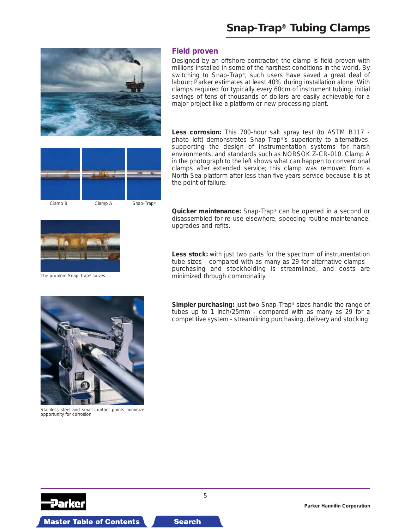

#### **Field proven**

Designed by an offshore contractor, the clamp is field-proven with millions installed in some of the harshest conditions in the world. By switching to Snap-Trap®, such users have saved a great deal of labour; Parker estimates at least 40% during installation alone. With clamps required for typically every 60cm of instrument tubing, initial savings of tens of thousands of dollars are easily achievable for a major project like a platform or new processing plant.

Less corrosion: This 700-hour salt spray test (to ASTM B117 photo left) demonstrates Snap-Trap®'s superiority to alternatives, supporting the design of instrumentation systems for harsh environments, and standards such as NORSOK Z-CR-010. Clamp A in the photograph to the left shows what can happen to conventional clamps after extended service; this clamp was removed from a

*Clamp B Clamp A Snap-Trap®*

North Sea platform after less than five years service because it is at the point of failure.



*The problem Snap-Trap® solves*



*Stainless steel and small contact points minimize opportunity for corrosion*

**Master Table of Contents Search Search** 



**Less stock:** with just two parts for the spectrum of instrumentation tube sizes - compared with as many as 29 for alternative clamps purchasing and stockholding is streamlined, and costs are minimized through commonality.

**Simpler purchasing:** just two Snap-Trap<sup>®</sup> sizes handle the range of tubes up to 1 inch/25mm - compared with as many as 29 for a competitive system - streamlining purchasing, delivery and stocking.

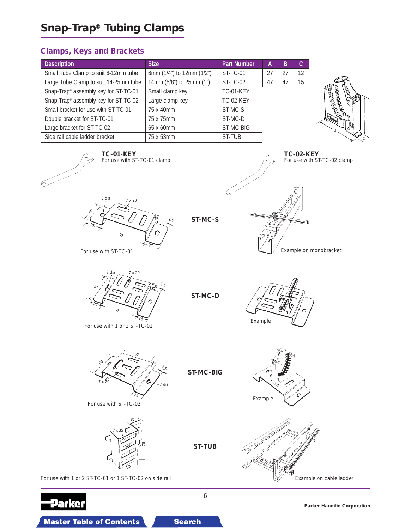# <span id="page-5-0"></span>**Clamps, Keys and Brackets**

| <b>Description</b>                    | <b>Size</b>                 | <b>Part Number</b> | А  | В  | C. |
|---------------------------------------|-----------------------------|--------------------|----|----|----|
| Small Tube Clamp to suit 6-12mm tube  | 6mm $(1/4)$ to 12mm $(1/2)$ | ST-TC-01           | 27 | 27 | 12 |
| Large Tube Clamp to suit 14-25mm tube | 14mm (5/8") to 25mm (1")    | <b>ST-TC-02</b>    | 47 | 47 | 15 |
| Snap-Trap® assembly key for ST-TC-01  | Small clamp key             | <b>TC-01-KEY</b>   |    |    |    |
| Snap-Trap® assembly key for ST-TC-02  | Large clamp key             | <b>TC-02-KEY</b>   |    |    |    |
| Small bracket for use with ST-TC-01   | 75 x 40mm                   | ST-MC-S            |    |    |    |
| Double bracket for ST-TC-01           | 75 x 75mm                   | ST-MC-D            |    |    |    |
| Large bracket for ST-TC-02            | 65 x 60mm                   | ST-MC-BIG          |    |    |    |
| Side rail cable ladder bracket        | 75 x 53mm                   | ST-TUB             |    |    |    |



**TC-02-KEY**

For use with ST-TC-02 clamp







**ST-MC-S**

For use with ST-TC-01  $\bigcup$  Example on monobracket



For use with 1 or 2 ST-TC-01



For use with ST-TC-02



**ST-MC-BIG**

**ST-MC-D**



Example



For use with 1 or 2 ST-TC-01 or 1 ST-TC-02 on side rail Example on cable ladder



6

**ST-TUB**

**Parker Hannifin Corporation**

Master Table of Contents **SiteMaster Table of Contents 3-D Drawings Search**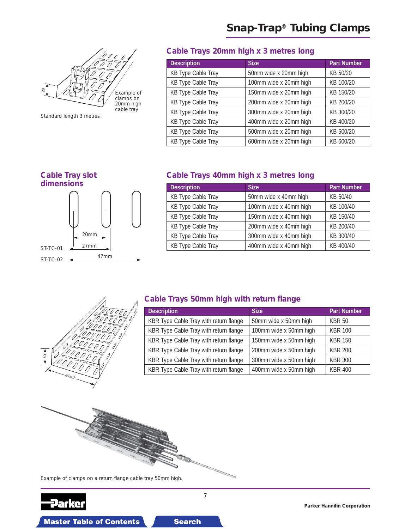<span id="page-6-0"></span>

Standard length 3 metres

# **Cable Trays 20mm high x 3 metres long**

| <b>Description</b>        | <b>Size</b>            | <b>Part Number</b> |
|---------------------------|------------------------|--------------------|
| <b>KB Type Cable Tray</b> | 50mm wide x 20mm high  | KB 50/20           |
| <b>KB Type Cable Tray</b> | 100mm wide x 20mm high | KB 100/20          |
| <b>KB Type Cable Tray</b> | 150mm wide x 20mm high | KB 150/20          |
| <b>KB Type Cable Tray</b> | 200mm wide x 20mm high | KB 200/20          |
| <b>KB Type Cable Tray</b> | 300mm wide x 20mm high | KB 300/20          |
| <b>KB Type Cable Tray</b> | 400mm wide x 20mm high | KB 400/20          |
| <b>KB Type Cable Tray</b> | 500mm wide x 20mm high | KB 500/20          |
| <b>KB Type Cable Tray</b> | 600mm wide x 20mm high | KB 600/20          |



# **Cable Trays 40mm high x 3 metres long**

| <b>Description</b>        | <b>Size</b>            | <b>Part Number</b> |
|---------------------------|------------------------|--------------------|
| <b>KB Type Cable Tray</b> | 50mm wide x 40mm high  | KB 50/40           |
| <b>KB Type Cable Tray</b> | 100mm wide x 40mm high | KB 100/40          |
| <b>KB Type Cable Tray</b> | 150mm wide x 40mm high | KB 150/40          |
| <b>KB Type Cable Tray</b> | 200mm wide x 40mm high | KB 200/40          |
| <b>KB Type Cable Tray</b> | 300mm wide x 40mm high | KB 300/40          |
| <b>KB Type Cable Tray</b> | 400mm wide x 40mm high | KB 400/40          |



# **Cable Trays 50mm high with return flange**

| <b>Description</b>                     | <b>Size</b>            | <b>Part Number</b> |
|----------------------------------------|------------------------|--------------------|
| KBR Type Cable Tray with return flange | 50mm wide x 50mm high  | <b>KBR 50</b>      |
| KBR Type Cable Tray with return flange | 100mm wide x 50mm high | <b>KBR 100</b>     |
| KBR Type Cable Tray with return flange | 150mm wide x 50mm high | <b>KBR 150</b>     |
| KBR Type Cable Tray with return flange | 200mm wide x 50mm high | <b>KBR 200</b>     |
| KBR Type Cable Tray with return flange | 300mm wide x 50mm high | <b>KBR 300</b>     |
| KBR Type Cable Tray with return flange | 400mm wide x 50mm high | <b>KBR 400</b>     |



**Master Table of Contents Search Search** 

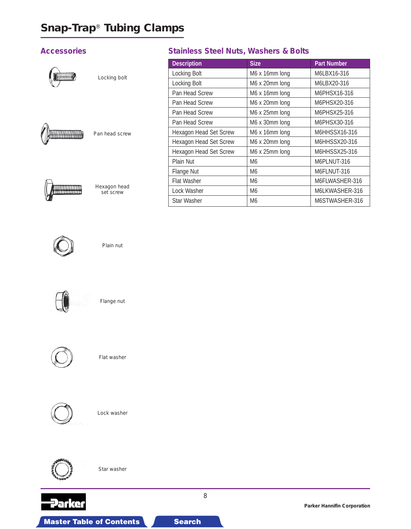# <span id="page-7-0"></span>**Accessories**



Locking bolt



Pan head screw



Hexagon head set screw

# **Stainless Steel Nuts, Washers & Bolts**

| <b>Description</b>     | <b>Size</b>    | <b>Part Number</b> |
|------------------------|----------------|--------------------|
| Locking Bolt           | M6 x 16mm long | M6LBX16-316        |
| Locking Bolt           | M6 x 20mm long | M6LBX20-316        |
| Pan Head Screw         | M6 x 16mm long | M6PHSX16-316       |
| Pan Head Screw         | M6 x 20mm long | M6PHSX20-316       |
| Pan Head Screw         | M6 x 25mm long | M6PHSX25-316       |
| Pan Head Screw         | M6 x 30mm long | M6PHSX30-316       |
| Hexagon Head Set Screw | M6 x 16mm long | M6HHSSX16-316      |
| Hexagon Head Set Screw | M6 x 20mm long | M6HHSSX20-316      |
| Hexagon Head Set Screw | M6 x 25mm long | M6HHSSX25-316      |
| Plain Nut              | M6             | M6PLNUT-316        |
| Flange Nut             | M6             | M6FLNUT-316        |
| <b>Flat Washer</b>     | M6             | M6FLWASHER-316     |
| Lock Washer            | M <sub>6</sub> | M6LKWASHER-316     |
| <b>Star Washer</b>     | M <sub>6</sub> | M6STWASHER-316     |



Plain nut



Flange nut



Flat washer



Lock washer



Star washer

**Master Table of Contents Search Search** 



**Parker Hannifin Corporation**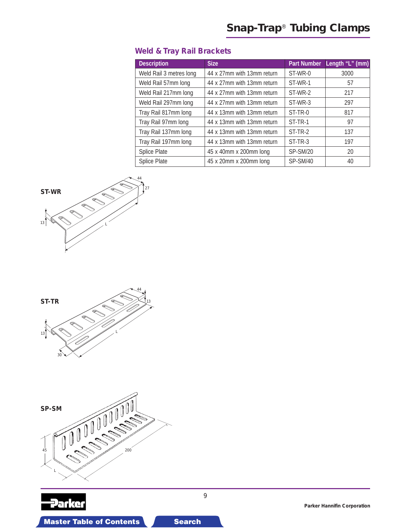# <span id="page-8-0"></span>**Weld & Tray Rail Brackets**

| <b>Description</b>      | <b>Size</b>                | <b>Part Number</b> | Length "L" (mm) |
|-------------------------|----------------------------|--------------------|-----------------|
| Weld Rail 3 metres long | 44 x 27mm with 13mm return | ST-WR-0            | 3000            |
| Weld Rail 57mm long     | 44 x 27mm with 13mm return | ST-WR-1            | 57              |
| Weld Rail 217mm long    | 44 x 27mm with 13mm return | ST-WR-2            | 217             |
| Weld Rail 297mm long    | 44 x 27mm with 13mm return | ST-WR-3            | 297             |
| Tray Rail 817mm long    | 44 x 13mm with 13mm return | ST-TR-0            | 817             |
| Tray Rail 97mm long     | 44 x 13mm with 13mm return | ST-TR-1            | 97              |
| Tray Rail 137mm long    | 44 x 13mm with 13mm return | ST-TR-2            | 137             |
| Tray Rail 197mm long    | 44 x 13mm with 13mm return | ST-TR-3            | 197             |
| Splice Plate            | 45 x 40mm x 200mm long     | <b>SP-SM/20</b>    | 20              |
| Splice Plate            | 45 x 20mm x 200mm long     | SP-SM/40           | 40              |









**Parker Hannifin Corporation**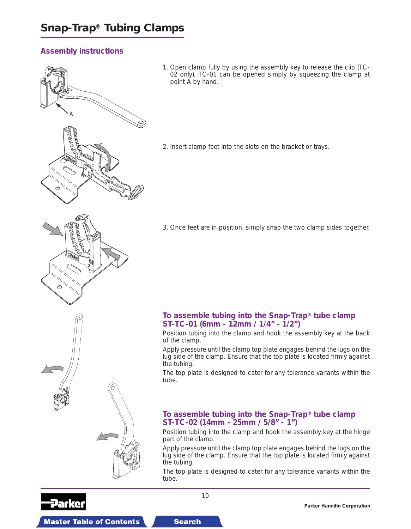# <span id="page-9-0"></span>**Assembly instructions**



1. Open clamp fully by using the assembly key to release the clip (TC-02 only). TC-01 can be opened simply by squeezing the clamp at point A by hand.

2. Insert clamp feet into the slots on the bracket or trays.

3. Once feet are in position, simply snap the two clamp sides together.

### **To assemble tubing into the Snap-Trap® tube clamp ST-TC-01 (6mm - 12mm / 1/4" - 1/2")**

Position tubing into the clamp and hook the assembly key at the back of the clamp.

Apply pressure until the clamp top plate engages behind the lugs on the lug side of the clamp. Ensure that the top plate is located firmly against the tubing.

The top plate is designed to cater for any tolerance variants within the tube.

### **To assemble tubing into the Snap-Trap® tube clamp ST-TC-02 (14mm - 25mm / 5/8" - 1")**

Position tubing into the clamp and hook the assembly key at the hinge part of the clamp.

Apply pressure until the clamp top plate engages behind the lugs on the lug side of the clamp. Ensure that the top plate is located firmly against the tubing.

The top plate is designed to cater for any tolerance variants within the tube.

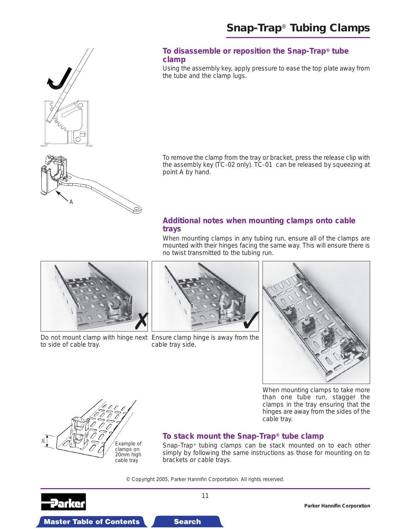



### **To disassemble or reposition the Snap-Trap® tube clamp**

Using the assembly key, apply pressure to ease the top plate away from the tube and the clamp lugs.

To remove the clamp from the tray or bracket, press the release clip with the assembly key (TC-02 only). TC-01 can be released by squeezing at point A by hand.

### **Additional notes when mounting clamps onto cable trays**





to side of cable tray.



Do not mount clamp with hinge next Ensure clamp hinge is away from the cable tray side.



When mounting clamps to take more than one tube run, stagger the clamps in the tray ensuring that the hinges are away from the sides of the cable tray.



**Master Table of Contents Search Search Master Table of Contents 3-D Drawing Search** 

# **To stack mount the Snap-Trap® tube clamp**

Snap-Trap® tubing clamps can be stack mounted on to each other simply by following the same instructions as those for mounting on to brackets or cable trays.

© Copyright 2005, Parker Hannifin Corportation. All rights reserved.